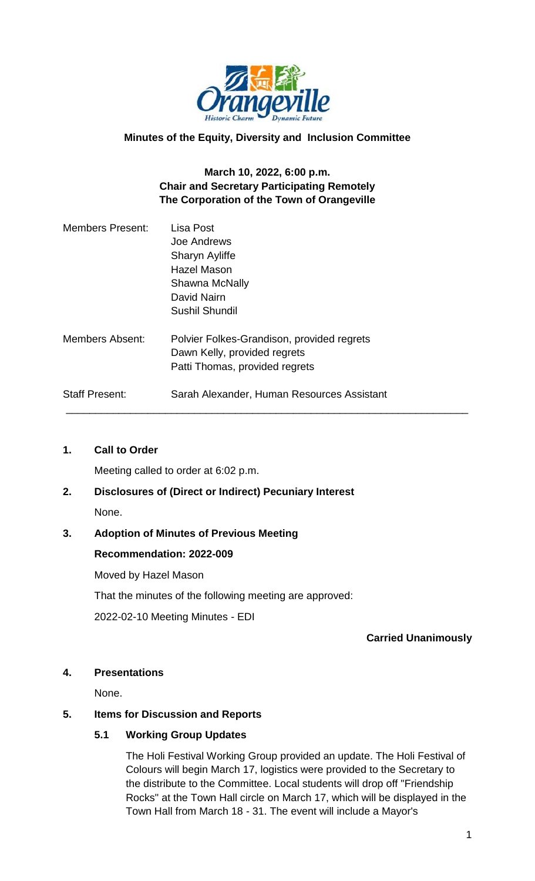

#### **Minutes of the Equity, Diversity and Inclusion Committee**

#### **March 10, 2022, 6:00 p.m. Chair and Secretary Participating Remotely The Corporation of the Town of Orangeville**

| <b>Members Present:</b> | Lisa Post<br>Joe Andrews<br>Sharyn Ayliffe                                 |
|-------------------------|----------------------------------------------------------------------------|
|                         | Hazel Mason                                                                |
|                         | Shawna McNally                                                             |
|                         | David Nairn                                                                |
|                         | Sushil Shundil                                                             |
| <b>Members Absent:</b>  | Polvier Folkes-Grandison, provided regrets<br>Dawn Kelly, provided regrets |
|                         | Patti Thomas, provided regrets                                             |
| <b>Staff Present:</b>   | Sarah Alexander, Human Resources Assistant                                 |

#### **1. Call to Order**

Meeting called to order at 6:02 p.m.

# **2. Disclosures of (Direct or Indirect) Pecuniary Interest** None.

# **3. Adoption of Minutes of Previous Meeting**

#### **Recommendation: 2022-009**

Moved by Hazel Mason That the minutes of the following meeting are approved: 2022-02-10 Meeting Minutes - EDI

#### **Carried Unanimously**

#### **4. Presentations**

None.

#### **5. Items for Discussion and Reports**

#### **5.1 Working Group Updates**

The Holi Festival Working Group provided an update. The Holi Festival of Colours will begin March 17, logistics were provided to the Secretary to the distribute to the Committee. Local students will drop off "Friendship Rocks" at the Town Hall circle on March 17, which will be displayed in the Town Hall from March 18 - 31. The event will include a Mayor's